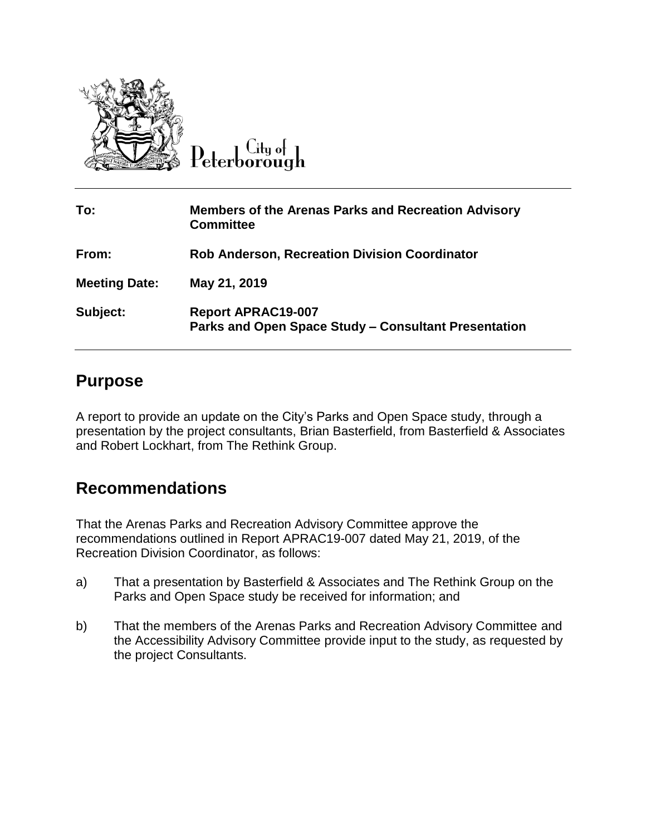

 $\overline{C}$ ity of Peterborough

| To:                  | <b>Members of the Arenas Parks and Recreation Advisory</b><br><b>Committee</b>    |
|----------------------|-----------------------------------------------------------------------------------|
| From:                | <b>Rob Anderson, Recreation Division Coordinator</b>                              |
| <b>Meeting Date:</b> | May 21, 2019                                                                      |
| Subject:             | <b>Report APRAC19-007</b><br>Parks and Open Space Study - Consultant Presentation |

## **Purpose**

A report to provide an update on the City's Parks and Open Space study, through a presentation by the project consultants, Brian Basterfield, from Basterfield & Associates and Robert Lockhart, from The Rethink Group.

## **Recommendations**

That the Arenas Parks and Recreation Advisory Committee approve the recommendations outlined in Report APRAC19-007 dated May 21, 2019, of the Recreation Division Coordinator, as follows:

- a) That a presentation by Basterfield & Associates and The Rethink Group on the Parks and Open Space study be received for information; and
- b) That the members of the Arenas Parks and Recreation Advisory Committee and the Accessibility Advisory Committee provide input to the study, as requested by the project Consultants.